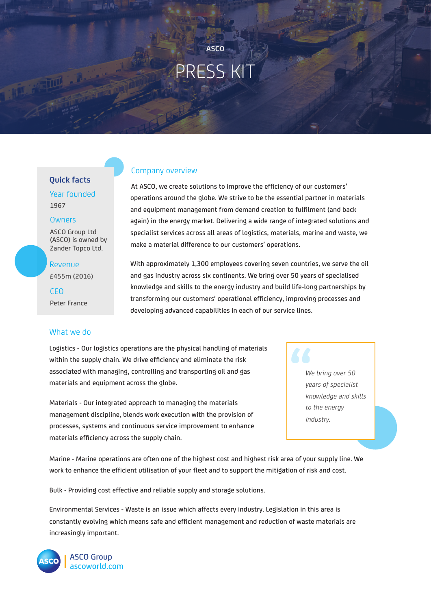# PRESS KIT

**ASCO**

#### Company overview

At ASCO, we create solutions to improve the efficiency of our customers' operations around the globe. We strive to be the essential partner in materials and equipment management from demand creation to fulfilment (and back again) in the energy market. Delivering a wide range of integrated solutions and specialist services across all areas of logistics, materials, marine and waste, we make a material difference to our customers' operations.

With approximately 1,300 employees covering seven countries, we serve the oil and gas industry across six continents. We bring over 50 years of specialised knowledge and skills to the energy industry and build life-long partnerships by transforming our customers' operational efficiency, improving processes and developing advanced capabilities in each of our service lines.

Logistics - Our logistics operations are the physical handling of materials within the supply chain. We drive efficiency and eliminate the risk associated with managing, controlling and transporting oil and gas materials and equipment across the globe.

Materials - Our integrated approach to managing the materials management discipline, blends work execution with the provision of processes, systems and continuous service improvement to enhance materials efficiency across the supply chain.

**66**<br>
W<br>
ye *We bring over 50 years of specialist knowledge and skills to the energy industry.*

Marine - Marine operations are often one of the highest cost and highest risk area of your supply line. We work to enhance the efficient utilisation of your fleet and to support the mitigation of risk and cost.

Bulk - Providing cost effective and reliable supply and storage solutions.

Environmental Services - Waste is an issue which affects every industry. Legislation in this area is constantly evolving which means safe and efficient management and reduction of waste materials are increasingly important.



## **Quick facts**

Year founded 1967

#### **Owners**

ASCO Group Ltd (ASCO) is owned by Zander Topco Ltd.

**Revenue** 

£455m (2016)

CEO Peter France

#### What we do